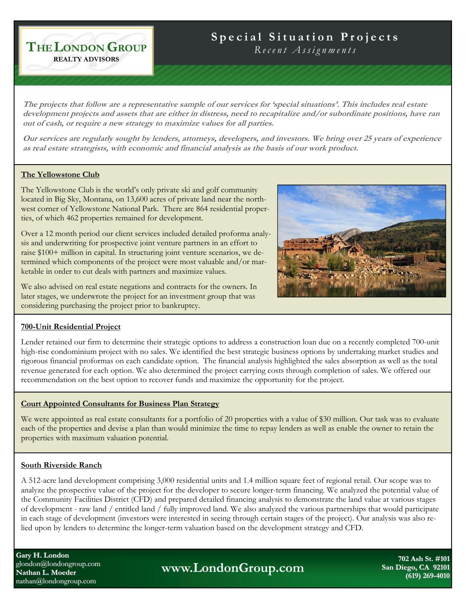# **Special Situation Projects**

*Recent Assignments* 

**The projects that follow are a representative sample of our services for 'special situations'. This includes real estate development projects and assets that are either in distress, need to recapitalize and/or subordinate positions, have ran out of cash, or require a new strategy to maximize values for all parties.** 

**Our services are regularly sought by lenders, attorneys, developers, and investors. We bring over 25 years of experience as real estate strategists, with economic and financial analysis as the basis of our work product.**

#### **The Yellowstone Club**

**THE LONDON GROUP REALTY ADVISORS**

The Yellowstone Club is the world's only private ski and golf community located in Big Sky, Montana, on 13,600 acres of private land near the northwest corner of Yellowstone National Park. There are 864 residential properties, of which 462 properties remained for development.

Over a 12 month period our client services included detailed proforma analysis and underwriting for prospective joint venture partners in an effort to raise \$100+ million in capital. In structuring joint venture scenarios, we determined which components of the project were most valuable and/or marketable in order to cut deals with partners and maximize values.

We also advised on real estate negations and contracts for the owners. In later stages, we underwrote the project for an investment group that was considering purchasing the project prior to bankruptcy.



### **700-Unit Residential Project**

Lender retained our firm to determine their strategic options to address a construction loan due on a recently completed 700-unit high-rise condominium project with no sales. We identified the best strategic business options by undertaking market studies and rigorous financial proformas on each candidate option. The financial analysis highlighted the sales absorption as well as the total revenue generated for each option. We also determined the project carrying costs through completion of sales. We offered our recommendation on the best option to recover funds and maximize the opportunity for the project.

#### **Court Appointed Consultants for Business Plan Strategy**

We were appointed as real estate consultants for a portfolio of 20 properties with a value of \$30 million. Our task was to evaluate each of the properties and devise a plan than would minimize the time to repay lenders as well as enable the owner to retain the properties with maximum valuation potential.

#### **South Riverside Ranch**

A 512-acre land development comprising 3,000 residential units and 1.4 million square feet of regional retail. Our scope was to analyze the prospective value of the project for the developer to secure longer-term financing. We analyzed the potential value of the Community Facilities District (CFD) and prepared detailed financing analysis to demonstrate the land value at various stages of development - raw land / entitled land / fully improved land. We also analyzed the various partnerships that would participate in each stage of development (investors were interested in seeing through certain stages of the project). Our analysis was also relied upon by lenders to determine the longer-term valuation based on the development strategy and CFD.

**Gary H. London** glondon@londongroup.com **Nathan L. Moeder L. Moeder** nathan@londongroup.com

**www.LondonGroup.com** 

**702 Ash St. #101 702 #101 San Diego, CA 92101 (619) 269 (619) 269-4010**